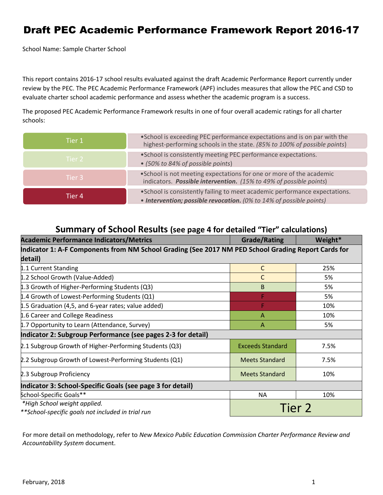# Draft PEC Academic Performance Framework Report 2016-17

School Name: Sample Charter School

This report contains 2016-17 school results evaluated against the draft Academic Performance Report currently under review by the PEC. The PEC Academic Performance Framework (APF) includes measures that allow the PEC and CSD to evaluate charter school academic performance and assess whether the academic program is a success.

The proposed PEC Academic Performance Framework results in one of four overall academic ratings for all charter schools:

| Tier 1  | • School is exceeding PEC performance expectations and is on par with the<br>highest-performing schools in the state. (85% to 100% of possible points) |
|---------|--------------------------------------------------------------------------------------------------------------------------------------------------------|
| Tier 2  | • School is consistently meeting PEC performance expectations.<br>• (50% to 84% of possible points)                                                    |
| Tier 3  | . School is not meeting expectations for one or more of the academic<br>indicators. Possible intervention. (15% to 49% of possible points)             |
| Tier 4. | . School is consistently failing to meet academic performance expectations.<br>• Intervention; possible revocation. (0% to 14% of possible points)     |

### **Summary of School Results (see page 4 for detailed "Tier" calculations)**

| <b>Academic Performance Indicators/Metrics</b>                                                      | <b>Grade/Rating</b>     | Weight* |  |  |
|-----------------------------------------------------------------------------------------------------|-------------------------|---------|--|--|
| Indicator 1: A-F Components from NM School Grading (See 2017 NM PED School Grading Report Cards for |                         |         |  |  |
| detail)                                                                                             |                         |         |  |  |
| 1.1 Current Standing                                                                                | C                       | 25%     |  |  |
| 1.2 School Growth (Value-Added)                                                                     | С                       | 5%      |  |  |
| 1.3 Growth of Higher-Performing Students (Q3)                                                       | B                       | 5%      |  |  |
| 1.4 Growth of Lowest-Performing Students (Q1)                                                       | F                       | 5%      |  |  |
| 1.5 Graduation (4,5, and 6-year rates; value added)                                                 | F                       | 10%     |  |  |
| 1.6 Career and College Readiness                                                                    | $\overline{A}$          | 10%     |  |  |
| 1.7 Opportunity to Learn (Attendance, Survey)                                                       | A                       | 5%      |  |  |
| Indicator 2: Subgroup Performance (see pages 2-3 for detail)                                        |                         |         |  |  |
| 2.1 Subgroup Growth of Higher-Performing Students (Q3)                                              | <b>Exceeds Standard</b> | 7.5%    |  |  |
| 2.2 Subgroup Growth of Lowest-Performing Students (Q1)                                              | <b>Meets Standard</b>   | 7.5%    |  |  |
| 2.3 Subgroup Proficiency                                                                            | <b>Meets Standard</b>   | 10%     |  |  |
| Indicator 3: School-Specific Goals (see page 3 for detail)                                          |                         |         |  |  |
| School-Specific Goals**                                                                             | <b>NA</b>               | 10%     |  |  |
| *High School weight applied.                                                                        | Tier 2                  |         |  |  |
| **School-specific goals not included in trial run                                                   |                         |         |  |  |

For more detail on methodology, refer to *New Mexico Public Education Commission Charter Performance Review and Accountability System* document.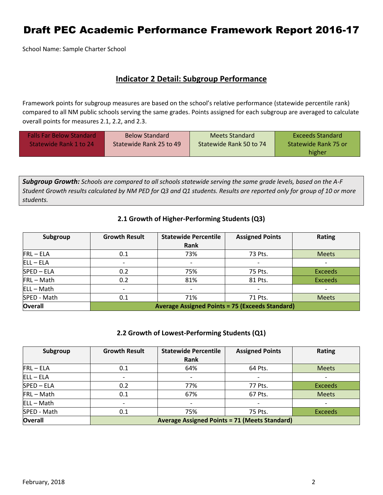## Draft PEC Academic Performance Framework Report 2016-17

School Name: Sample Charter School

### **Indicator 2 Detail: Subgroup Performance**

Framework points for subgroup measures are based on the school's relative performance (statewide percentile rank) compared to all NM public schools serving the same grades. Points assigned for each subgroup are averaged to calculate overall points for measures 2.1, 2.2, and 2.3.

| <b>Falls Far Below Standard</b><br>Statewide Rank 1 to 24 | <b>Below Standard</b><br>Statewide Rank 25 to 49 | Meets Standard<br>Statewide Rank 50 to 74 | Exceeds Standard<br>Statewide Rank 75 or<br>higher |
|-----------------------------------------------------------|--------------------------------------------------|-------------------------------------------|----------------------------------------------------|
|-----------------------------------------------------------|--------------------------------------------------|-------------------------------------------|----------------------------------------------------|

*Subgroup Growth: Schools are compared to all schools statewide serving the same grade levels, based on the A-F Student Growth results calculated by NM PED for Q3 and Q1 students. Results are reported only for group of 10 or more students.*

#### **2.1 Growth of Higher-Performing Students (Q3)**

| Subgroup       | <b>Growth Result</b>                                   | <b>Statewide Percentile</b> | <b>Assigned Points</b>   | Rating         |
|----------------|--------------------------------------------------------|-----------------------------|--------------------------|----------------|
|                |                                                        | Rank                        |                          |                |
| $FRL - ELA$    | 0.1                                                    | 73%                         | 73 Pts.                  | <b>Meets</b>   |
| $ELL - ELA$    | -                                                      |                             | $\overline{\phantom{0}}$ |                |
| SPED-ELA       | 0.2                                                    | 75%                         | 75 Pts.                  | <b>Exceeds</b> |
| $FRL - Math$   | 0.2                                                    | 81%                         | 81 Pts.                  | <b>Exceeds</b> |
| $ELL - Math$   | $\overline{\phantom{0}}$                               |                             |                          |                |
| SPED - Math    | 0.1                                                    | 71%                         | 71 Pts.                  | <b>Meets</b>   |
| <b>Overall</b> | <b>Average Assigned Points = 75 (Exceeds Standard)</b> |                             |                          |                |

#### **2.2 Growth of Lowest-Performing Students (Q1)**

| Subgroup       | <b>Growth Result</b>                                 | <b>Statewide Percentile</b> | <b>Assigned Points</b> | Rating         |  |
|----------------|------------------------------------------------------|-----------------------------|------------------------|----------------|--|
|                |                                                      | Rank                        |                        |                |  |
| $FRL - ELA$    | 0.1                                                  | 64%                         | 64 Pts.                | <b>Meets</b>   |  |
| $ELL - ELA$    | $\overline{\phantom{0}}$                             |                             |                        |                |  |
| SPED-ELA       | 0.2                                                  | 77%                         | 77 Pts.                | <b>Exceeds</b> |  |
| FRL-Math       | 0.1                                                  | 67%                         | 67 Pts.                | <b>Meets</b>   |  |
| $ELL - Math$   | $\overline{\phantom{a}}$                             |                             |                        |                |  |
| SPED - Math    | 0.1                                                  | 75%                         | 75 Pts.                | <b>Exceeds</b> |  |
| <b>Overall</b> | <b>Average Assigned Points = 71 (Meets Standard)</b> |                             |                        |                |  |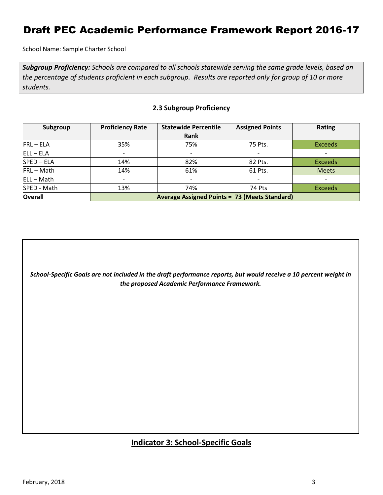## Draft PEC Academic Performance Framework Report 2016-17

School Name: Sample Charter School

*Subgroup Proficiency: Schools are compared to all schools statewide serving the same grade levels, based on the percentage of students proficient in each subgroup. Results are reported only for group of 10 or more students.*

| Subgroup       | <b>Proficiency Rate</b>                              | <b>Statewide Percentile</b> | <b>Assigned Points</b>   | <b>Rating</b>  |  |
|----------------|------------------------------------------------------|-----------------------------|--------------------------|----------------|--|
|                |                                                      | Rank                        |                          |                |  |
| $FRL - ELA$    | 35%                                                  | 75%                         | 75 Pts.                  | <b>Exceeds</b> |  |
| $ELL - ELA$    | $\overline{\phantom{0}}$                             | $\overline{\phantom{a}}$    | $\overline{\phantom{a}}$ |                |  |
| SPED-ELA       | 14%                                                  | 82%                         | 82 Pts.                  | <b>Exceeds</b> |  |
| FRL-Math       | 14%                                                  | 61%                         | 61 Pts.                  | <b>Meets</b>   |  |
| $ELL - Math$   | $\overline{\phantom{0}}$                             | $\overline{\phantom{a}}$    | $\overline{\phantom{0}}$ |                |  |
| SPED - Math    | 13%                                                  | 74%                         | 74 Pts                   | <b>Exceeds</b> |  |
| <b>Overall</b> | <b>Average Assigned Points = 73 (Meets Standard)</b> |                             |                          |                |  |

#### **2.3 Subgroup Proficiency**

*School-Specific Goals are not included in the draft performance reports, but would receive a 10 percent weight in the proposed Academic Performance Framework.*

### **Indicator 3: School-Specific Goals**